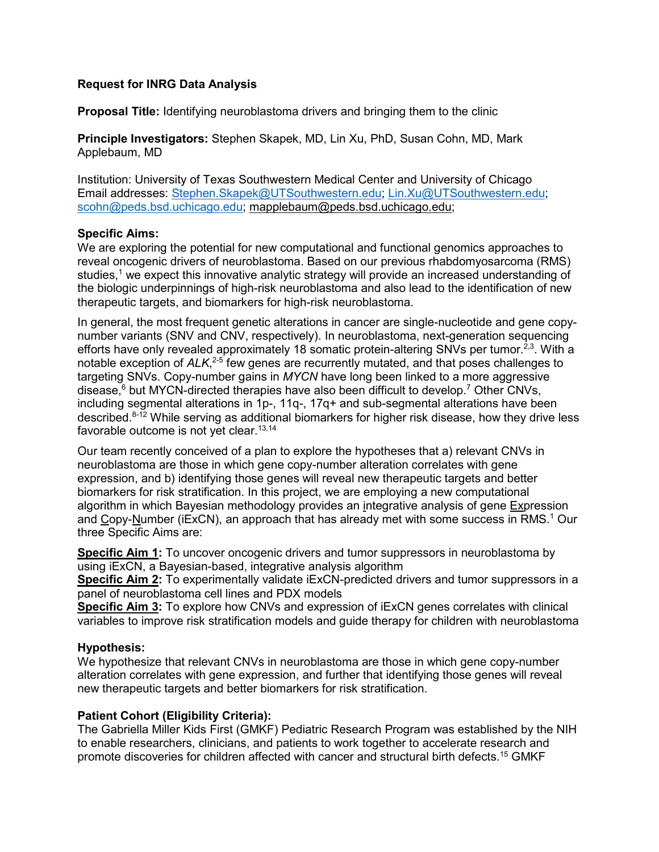# **Request for INRG Data Analysis**

**Proposal Title:** Identifying neuroblastoma drivers and bringing them to the clinic

**Principle Investigators:** Stephen Skapek, MD, Lin Xu, PhD, Susan Cohn, MD, Mark Applebaum, MD

Institution: University of Texas Southwestern Medical Center and University of Chicago Email addresses: [Stephen.Skapek@UTSouthwestern.edu;](mailto:Stephen.Skapek@UTSouthwestern.edu) [Lin.Xu@UTSouthwestern.edu;](mailto:Lin.Xu@UTSouthwestern.edu) [scohn@peds.bsd.uchicago.edu;](mailto:scohn@peds.bsd.uchicago.edu) [mapplebaum@peds.bsd.uchicago.edu;](mailto:mapplebaum@peds.bsd.uchicago.edu)

### **Specific Aims:**

We are exploring the potential for new computational and functional genomics approaches to reveal oncogenic drivers of neuroblastoma. Based on our previous rhabdomyosarcoma (RMS) studies,<sup>1</sup> we expect this innovative analytic strategy will provide an increased understanding of the biologic underpinnings of high-risk neuroblastoma and also lead to the identification of new therapeutic targets, and biomarkers for high-risk neuroblastoma.

In general, the most frequent genetic alterations in cancer are single-nucleotide and gene copynumber variants (SNV and CNV, respectively). In neuroblastoma, next-generation sequencing efforts have only revealed approximately 18 somatic protein-altering SNVs per tumor.<sup>2,3</sup>. With a notable exception of *ALK*, 2-5 few genes are recurrently mutated, and that poses challenges to targeting SNVs. Copy-number gains in *MYCN* have long been linked to a more aggressive disease,<sup>6</sup> but MYCN-directed therapies have also been difficult to develop.<sup>7</sup> Other CNVs, including segmental alterations in 1p-, 11q-, 17q+ and sub-segmental alterations have been described.<sup>8-12</sup> While serving as additional biomarkers for higher risk disease, how they drive less favorable outcome is not yet clear.<sup>13,14</sup>

Our team recently conceived of a plan to explore the hypotheses that a) relevant CNVs in neuroblastoma are those in which gene copy-number alteration correlates with gene expression, and b) identifying those genes will reveal new therapeutic targets and better biomarkers for risk stratification. In this project, we are employing a new computational algorithm in which Bayesian methodology provides an integrative analysis of gene Expression and Copy-Number (iExCN), an approach that has already met with some success in RMS.<sup>1</sup> Our three Specific Aims are:

**Specific Aim 1:** To uncover oncogenic drivers and tumor suppressors in neuroblastoma by using iExCN, a Bayesian-based, integrative analysis algorithm

**Specific Aim 2:** To experimentally validate iExCN-predicted drivers and tumor suppressors in a panel of neuroblastoma cell lines and PDX models

**Specific Aim 3:** To explore how CNVs and expression of iExCN genes correlates with clinical variables to improve risk stratification models and guide therapy for children with neuroblastoma

## **Hypothesis:**

We hypothesize that relevant CNVs in neuroblastoma are those in which gene copy-number alteration correlates with gene expression, and further that identifying those genes will reveal new therapeutic targets and better biomarkers for risk stratification.

## **Patient Cohort (Eligibility Criteria):**

The Gabriella Miller Kids First (GMKF) Pediatric Research Program was established by the NIH to enable researchers, clinicians, and patients to work together to accelerate research and promote discoveries for children affected with cancer and structural birth defects.15 GMKF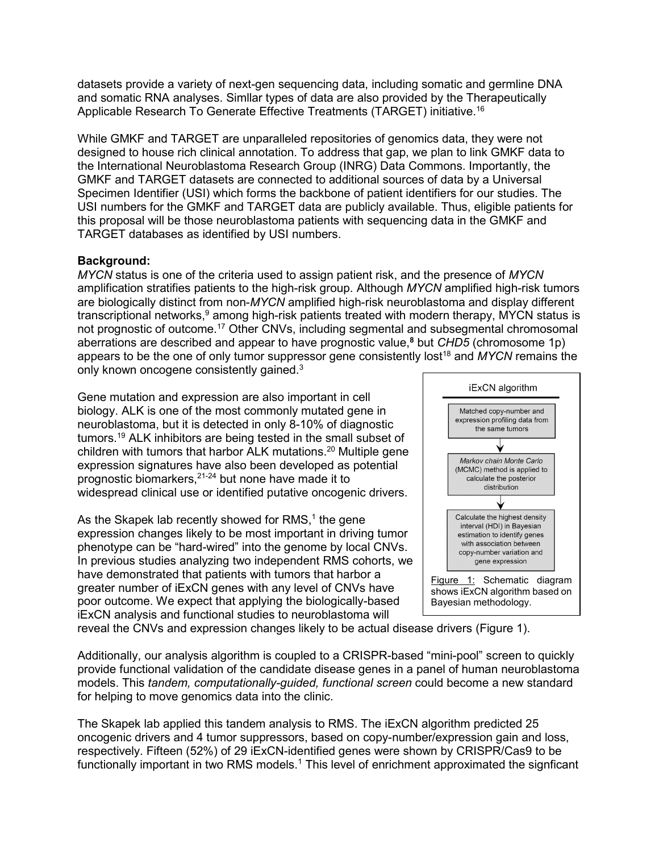datasets provide a variety of next-gen sequencing data, including somatic and germline DNA and somatic RNA analyses. Simllar types of data are also provided by the Therapeutically Applicable Research To Generate Effective Treatments (TARGET) initiative.16

While GMKF and TARGET are unparalleled repositories of genomics data, they were not designed to house rich clinical annotation. To address that gap, we plan to link GMKF data to the International Neuroblastoma Research Group (INRG) Data Commons. Importantly, the GMKF and TARGET datasets are connected to additional sources of data by a Universal Specimen Identifier (USI) which forms the backbone of patient identifiers for our studies. The USI numbers for the GMKF and TARGET data are publicly available. Thus, eligible patients for this proposal will be those neuroblastoma patients with sequencing data in the GMKF and TARGET databases as identified by USI numbers.

## **Background:**

*MYCN* status is one of the criteria used to assign patient risk, and the presence of *MYCN* amplification stratifies patients to the high-risk group. Although *MYCN* amplified high-risk tumors are biologically distinct from non-*MYCN* amplified high-risk neuroblastoma and display different transcriptional networks,<sup>9</sup> among high-risk patients treated with modern therapy, MYCN status is not prognostic of outcome. <sup>17</sup> Other CNVs, including segmental and subsegmental chromosomal aberrations are described and appear to have prognostic value, **<sup>8</sup>** but *CHD5* (chromosome 1p) appears to be the one of only tumor suppressor gene consistently lost<sup>18</sup> and *MYCN* remains the only known oncogene consistently gained.<sup>3</sup>

Gene mutation and expression are also important in cell biology. ALK is one of the most commonly mutated gene in neuroblastoma, but it is detected in only 8-10% of diagnostic tumors. <sup>19</sup> ALK inhibitors are being tested in the small subset of children with tumors that harbor ALK mutations. <sup>20</sup> Multiple gene expression signatures have also been developed as potential prognostic biomarkers, 21-24 but none have made it to widespread clinical use or identified putative oncogenic drivers.

As the Skapek lab recently showed for RMS,<sup>1</sup> the gene expression changes likely to be most important in driving tumor phenotype can be "hard-wired" into the genome by local CNVs. In previous studies analyzing two independent RMS cohorts, we have demonstrated that patients with tumors that harbor a greater number of iExCN genes with any level of CNVs have poor outcome. We expect that applying the biologically-based iExCN analysis and functional studies to neuroblastoma will



reveal the CNVs and expression changes likely to be actual disease drivers (Figure 1).

Additionally, our analysis algorithm is coupled to a CRISPR-based "mini-pool" screen to quickly provide functional validation of the candidate disease genes in a panel of human neuroblastoma models. This *tandem, computationally-guided, functional screen* could become a new standard for helping to move genomics data into the clinic.

The Skapek lab applied this tandem analysis to RMS. The iExCN algorithm predicted 25 oncogenic drivers and 4 tumor suppressors, based on copy-number/expression gain and loss, respectively. Fifteen (52%) of 29 iExCN-identified genes were shown by CRISPR/Cas9 to be functionally important in two RMS models.<sup>1</sup> This level of enrichment approximated the signficant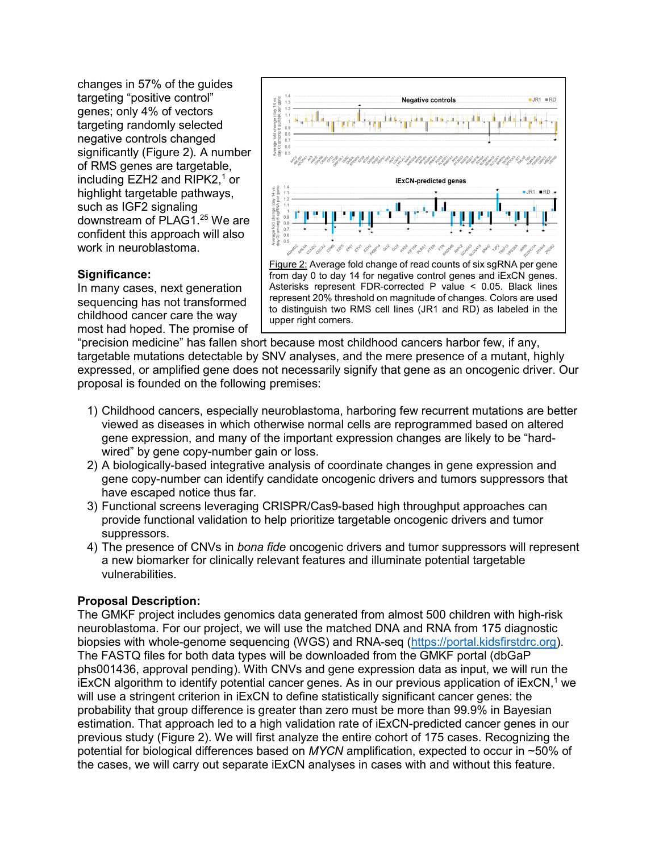changes in 57% of the guides targeting "positive control" genes; only 4% of vectors targeting randomly selected negative controls changed significantly (Figure 2). A number of RMS genes are targetable, including EZH2 and RIPK2, <sup>1</sup> or highlight targetable pathways, such as IGF2 signaling downstream of PLAG1. <sup>25</sup> We are confident this approach will also work in neuroblastoma.

### **Significance:**

In many cases, next generation sequencing has not transformed childhood cancer care the way most had hoped. The promise of



represent 20% threshold on magnitude of changes. Colors are used to distinguish two RMS cell lines (JR1 and RD) as labeled in the upper right corners.

"precision medicine" has fallen short because most childhood cancers harbor few, if any, targetable mutations detectable by SNV analyses, and the mere presence of a mutant, highly expressed, or amplified gene does not necessarily signify that gene as an oncogenic driver. Our proposal is founded on the following premises:

- 1) Childhood cancers, especially neuroblastoma, harboring few recurrent mutations are better viewed as diseases in which otherwise normal cells are reprogrammed based on altered gene expression, and many of the important expression changes are likely to be "hardwired" by gene copy-number gain or loss.
- 2) A biologically-based integrative analysis of coordinate changes in gene expression and gene copy-number can identify candidate oncogenic drivers and tumors suppressors that have escaped notice thus far.
- 3) Functional screens leveraging CRISPR/Cas9-based high throughput approaches can provide functional validation to help prioritize targetable oncogenic drivers and tumor suppressors.
- 4) The presence of CNVs in *bona fide* oncogenic drivers and tumor suppressors will represent a new biomarker for clinically relevant features and illuminate potential targetable vulnerabilities.

## **Proposal Description:**

The GMKF project includes genomics data generated from almost 500 children with high-risk neuroblastoma. For our project, we will use the matched DNA and RNA from 175 diagnostic biopsies with whole-genome sequencing (WGS) and RNA-seq [\(https://portal.kidsfirstdrc.org\)](https://portal.kidsfirstdrc.org/). The FASTQ files for both data types will be downloaded from the GMKF portal (dbGaP phs001436, approval pending). With CNVs and gene expression data as input, we will run the iExCN algorithm to identify potential cancer genes. As in our previous application of iExCN, <sup>1</sup> we will use a stringent criterion in iExCN to define statistically significant cancer genes: the probability that group difference is greater than zero must be more than 99.9% in Bayesian estimation. That approach led to a high validation rate of iExCN-predicted cancer genes in our previous study (Figure 2). We will first analyze the entire cohort of 175 cases. Recognizing the potential for biological differences based on *MYCN* amplification, expected to occur in ~50% of the cases, we will carry out separate iExCN analyses in cases with and without this feature.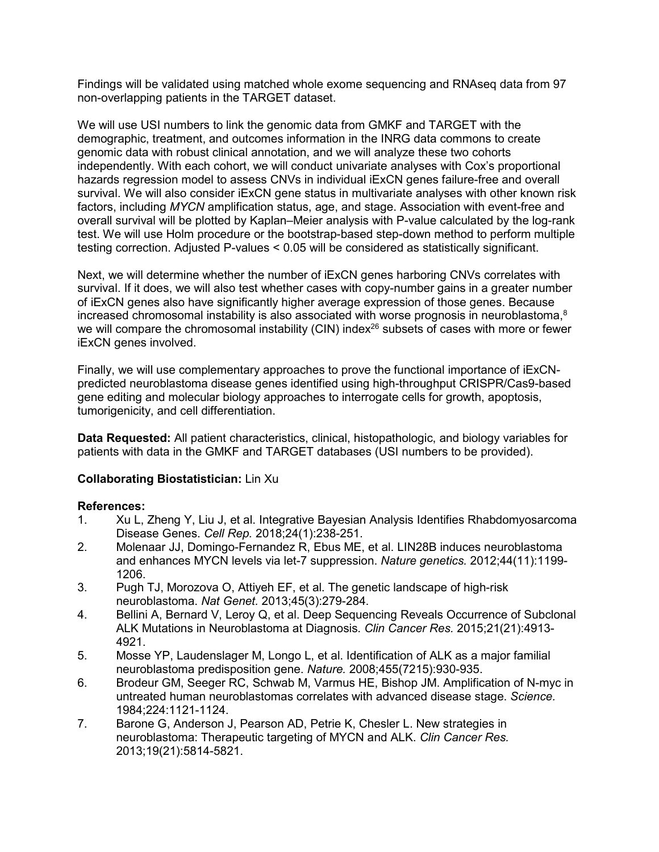Findings will be validated using matched whole exome sequencing and RNAseq data from 97 non-overlapping patients in the TARGET dataset.

We will use USI numbers to link the genomic data from GMKF and TARGET with the demographic, treatment, and outcomes information in the INRG data commons to create genomic data with robust clinical annotation, and we will analyze these two cohorts independently. With each cohort, we will conduct univariate analyses with Cox's proportional hazards regression model to assess CNVs in individual iExCN genes failure-free and overall survival. We will also consider iExCN gene status in multivariate analyses with other known risk factors, including *MYCN* amplification status, age, and stage. Association with event-free and overall survival will be plotted by Kaplan–Meier analysis with P-value calculated by the log-rank test. We will use Holm procedure or the bootstrap-based step-down method to perform multiple testing correction. Adjusted P-values < 0.05 will be considered as statistically significant.

Next, we will determine whether the number of iExCN genes harboring CNVs correlates with survival. If it does, we will also test whether cases with copy-number gains in a greater number of iExCN genes also have significantly higher average expression of those genes. Because increased chromosomal instability is also associated with worse prognosis in neuroblastoma, $8$ we will compare the chromosomal instability (CIN) index<sup>26</sup> subsets of cases with more or fewer iExCN genes involved.

Finally, we will use complementary approaches to prove the functional importance of iExCNpredicted neuroblastoma disease genes identified using high-throughput CRISPR/Cas9-based gene editing and molecular biology approaches to interrogate cells for growth, apoptosis, tumorigenicity, and cell differentiation.

**Data Requested:** All patient characteristics, clinical, histopathologic, and biology variables for patients with data in the GMKF and TARGET databases (USI numbers to be provided).

## **Collaborating Biostatistician:** Lin Xu

## **References:**

- 1. Xu L, Zheng Y, Liu J, et al. Integrative Bayesian Analysis Identifies Rhabdomyosarcoma Disease Genes. *Cell Rep.* 2018;24(1):238-251.
- 2. Molenaar JJ, Domingo-Fernandez R, Ebus ME, et al. LIN28B induces neuroblastoma and enhances MYCN levels via let-7 suppression. *Nature genetics.* 2012;44(11):1199- 1206.
- 3. Pugh TJ, Morozova O, Attiyeh EF, et al. The genetic landscape of high-risk neuroblastoma. *Nat Genet.* 2013;45(3):279-284.
- 4. Bellini A, Bernard V, Leroy Q, et al. Deep Sequencing Reveals Occurrence of Subclonal ALK Mutations in Neuroblastoma at Diagnosis. *Clin Cancer Res.* 2015;21(21):4913- 4921.
- 5. Mosse YP, Laudenslager M, Longo L, et al. Identification of ALK as a major familial neuroblastoma predisposition gene. *Nature.* 2008;455(7215):930-935.
- 6. Brodeur GM, Seeger RC, Schwab M, Varmus HE, Bishop JM. Amplification of N-myc in untreated human neuroblastomas correlates with advanced disease stage. *Science.*  1984;224:1121-1124.
- 7. Barone G, Anderson J, Pearson AD, Petrie K, Chesler L. New strategies in neuroblastoma: Therapeutic targeting of MYCN and ALK. *Clin Cancer Res.*  2013;19(21):5814-5821.